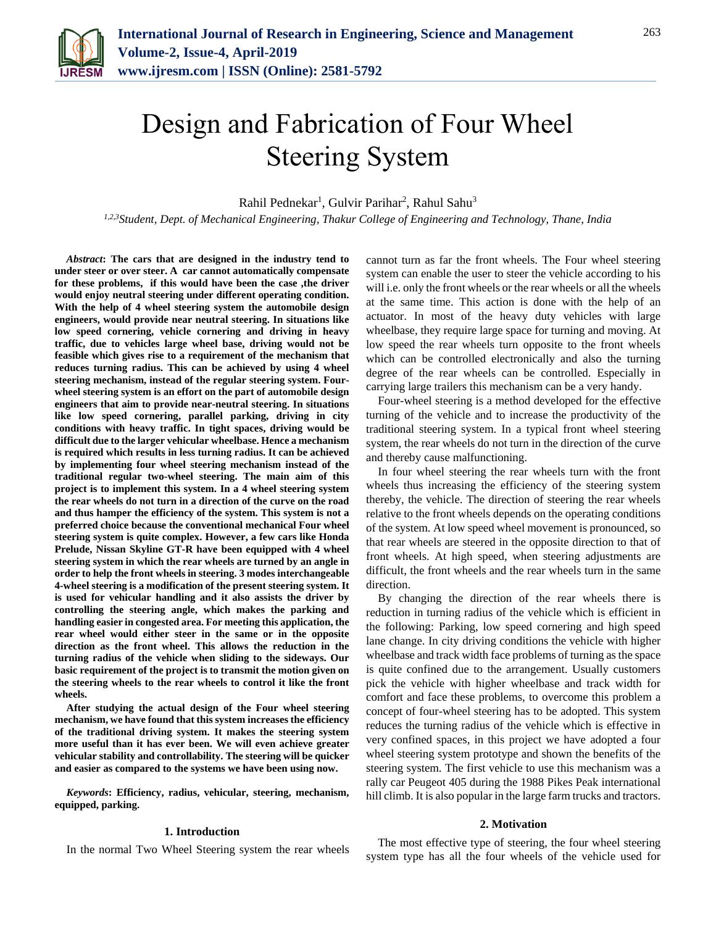

# Design and Fabrication of Four Wheel Steering System

Rahil Pednekar<sup>1</sup>, Gulvir Parihar<sup>2</sup>, Rahul Sahu<sup>3</sup>

*1,2,3Student, Dept. of Mechanical Engineering, Thakur College of Engineering and Technology, Thane, India*

*Abstract***: The cars that are designed in the industry tend to under steer or over steer. A car cannot automatically compensate for these problems, if this would have been the case ,the driver would enjoy neutral steering under different operating condition. With the help of 4 wheel steering system the automobile design engineers, would provide near neutral steering. In situations like low speed cornering, vehicle cornering and driving in heavy traffic, due to vehicles large wheel base, driving would not be feasible which gives rise to a requirement of the mechanism that reduces turning radius. This can be achieved by using 4 wheel steering mechanism, instead of the regular steering system. Fourwheel steering system is an effort on the part of automobile design engineers that aim to provide near-neutral steering. In situations like low speed cornering, parallel parking, driving in city conditions with heavy traffic. In tight spaces, driving would be difficult due to the larger vehicular wheelbase. Hence a mechanism is required which results in less turning radius. It can be achieved by implementing four wheel steering mechanism instead of the traditional regular two-wheel steering. The main aim of this project is to implement this system. In a 4 wheel steering system the rear wheels do not turn in a direction of the curve on the road and thus hamper the efficiency of the system. This system is not a preferred choice because the conventional mechanical Four wheel steering system is quite complex. However, a few cars like Honda Prelude, Nissan Skyline GT-R have been equipped with 4 wheel steering system in which the rear wheels are turned by an angle in order to help the front wheels in steering. 3 modes interchangeable 4-wheel steering is a modification of the present steering system. It is used for vehicular handling and it also assists the driver by controlling the steering angle, which makes the parking and handling easier in congested area. For meeting this application, the rear wheel would either steer in the same or in the opposite direction as the front wheel. This allows the reduction in the turning radius of the vehicle when sliding to the sideways. Our basic requirement of the project is to transmit the motion given on the steering wheels to the rear wheels to control it like the front wheels.**

**After studying the actual design of the Four wheel steering mechanism, we have found that this system increases the efficiency of the traditional driving system. It makes the steering system more useful than it has ever been. We will even achieve greater vehicular stability and controllability. The steering will be quicker and easier as compared to the systems we have been using now.**

*Keywords***: Efficiency, radius, vehicular, steering, mechanism, equipped, parking.**

## **1. Introduction**

In the normal Two Wheel Steering system the rear wheels

cannot turn as far the front wheels. The Four wheel steering system can enable the user to steer the vehicle according to his will i.e. only the front wheels or the rear wheels or all the wheels at the same time. This action is done with the help of an actuator. In most of the heavy duty vehicles with large wheelbase, they require large space for turning and moving. At low speed the rear wheels turn opposite to the front wheels which can be controlled electronically and also the turning degree of the rear wheels can be controlled. Especially in carrying large trailers this mechanism can be a very handy.

Four-wheel steering is a method developed for the effective turning of the vehicle and to increase the productivity of the traditional steering system. In a typical front wheel steering system, the rear wheels do not turn in the direction of the curve and thereby cause malfunctioning.

In four wheel steering the rear wheels turn with the front wheels thus increasing the efficiency of the steering system thereby, the vehicle. The direction of steering the rear wheels relative to the front wheels depends on the operating conditions of the system. At low speed wheel movement is pronounced, so that rear wheels are steered in the opposite direction to that of front wheels. At high speed, when steering adjustments are difficult, the front wheels and the rear wheels turn in the same direction.

By changing the direction of the rear wheels there is reduction in turning radius of the vehicle which is efficient in the following: Parking, low speed cornering and high speed lane change. In city driving conditions the vehicle with higher wheelbase and track width face problems of turning as the space is quite confined due to the arrangement. Usually customers pick the vehicle with higher wheelbase and track width for comfort and face these problems, to overcome this problem a concept of four-wheel steering has to be adopted. This system reduces the turning radius of the vehicle which is effective in very confined spaces, in this project we have adopted a four wheel steering system prototype and shown the benefits of the steering system. The first vehicle to use this mechanism was a rally car Peugeot 405 during the 1988 Pikes Peak international hill climb. It is also popular in the large farm trucks and tractors.

## **2. Motivation**

The most effective type of steering, the four wheel steering system type has all the four wheels of the vehicle used for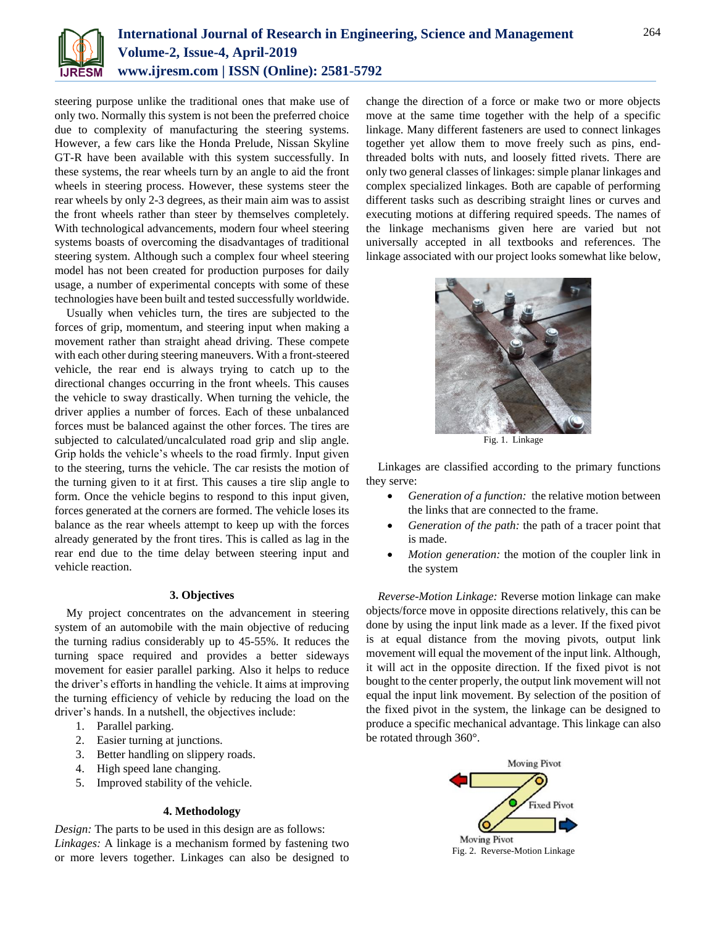

steering purpose unlike the traditional ones that make use of only two. Normally this system is not been the preferred choice due to complexity of manufacturing the steering systems. However, a few cars like the Honda Prelude, Nissan Skyline GT-R have been available with this system successfully. In these systems, the rear wheels turn by an angle to aid the front wheels in steering process. However, these systems steer the rear wheels by only 2-3 degrees, as their main aim was to assist the front wheels rather than steer by themselves completely. With technological advancements, modern four wheel steering systems boasts of overcoming the disadvantages of traditional steering system. Although such a complex four wheel steering model has not been created for production purposes for daily usage, a number of experimental concepts with some of these technologies have been built and tested successfully worldwide.

Usually when vehicles turn, the tires are subjected to the forces of grip, momentum, and steering input when making a movement rather than straight ahead driving. These compete with each other during steering maneuvers. With a front-steered vehicle, the rear end is always trying to catch up to the directional changes occurring in the front wheels. This causes the vehicle to sway drastically. When turning the vehicle, the driver applies a number of forces. Each of these unbalanced forces must be balanced against the other forces. The tires are subjected to calculated/uncalculated road grip and slip angle. Grip holds the vehicle's wheels to the road firmly. Input given to the steering, turns the vehicle. The car resists the motion of the turning given to it at first. This causes a tire slip angle to form. Once the vehicle begins to respond to this input given, forces generated at the corners are formed. The vehicle loses its balance as the rear wheels attempt to keep up with the forces already generated by the front tires. This is called as lag in the rear end due to the time delay between steering input and vehicle reaction.

## **3. Objectives**

My project concentrates on the advancement in steering system of an automobile with the main objective of reducing the turning radius considerably up to 45-55%. It reduces the turning space required and provides a better sideways movement for easier parallel parking. Also it helps to reduce the driver's efforts in handling the vehicle. It aims at improving the turning efficiency of vehicle by reducing the load on the driver's hands. In a nutshell, the objectives include:

- 1. Parallel parking.
- 2. Easier turning at junctions.
- 3. Better handling on slippery roads.
- 4. High speed lane changing.
- 5. Improved stability of the vehicle.

# **4. Methodology**

*Design:* The parts to be used in this design are as follows: *Linkages:* A linkage is a mechanism formed by fastening two or more levers together. Linkages can also be designed to change the direction of a force or make two or more objects move at the same time together with the help of a specific linkage. Many different fasteners are used to connect linkages together yet allow them to move freely such as pins, endthreaded bolts with nuts, and loosely fitted rivets. There are only two general classes of linkages: simple planar linkages and complex specialized linkages. Both are capable of performing different tasks such as describing straight lines or curves and executing motions at differing required speeds. The names of the linkage mechanisms given here are varied but not universally accepted in all textbooks and references. The linkage associated with our project looks somewhat like below,



Fig. 1. Linkage

Linkages are classified according to the primary functions they serve:

- *Generation of a function:* the relative motion between the links that are connected to the frame.
- *Generation of the path:* the path of a tracer point that is made.
- *Motion generation:* the motion of the coupler link in the system

*Reverse-Motion Linkage:* Reverse motion linkage can make objects/force move in opposite directions relatively, this can be done by using the input link made as a lever. If the fixed pivot is at equal distance from the moving pivots, output link movement will equal the movement of the input link. Although, it will act in the opposite direction. If the fixed pivot is not bought to the center properly, the output link movement will not equal the input link movement. By selection of the position of the fixed pivot in the system, the linkage can be designed to produce a specific mechanical advantage. This linkage can also be rotated through 360°.

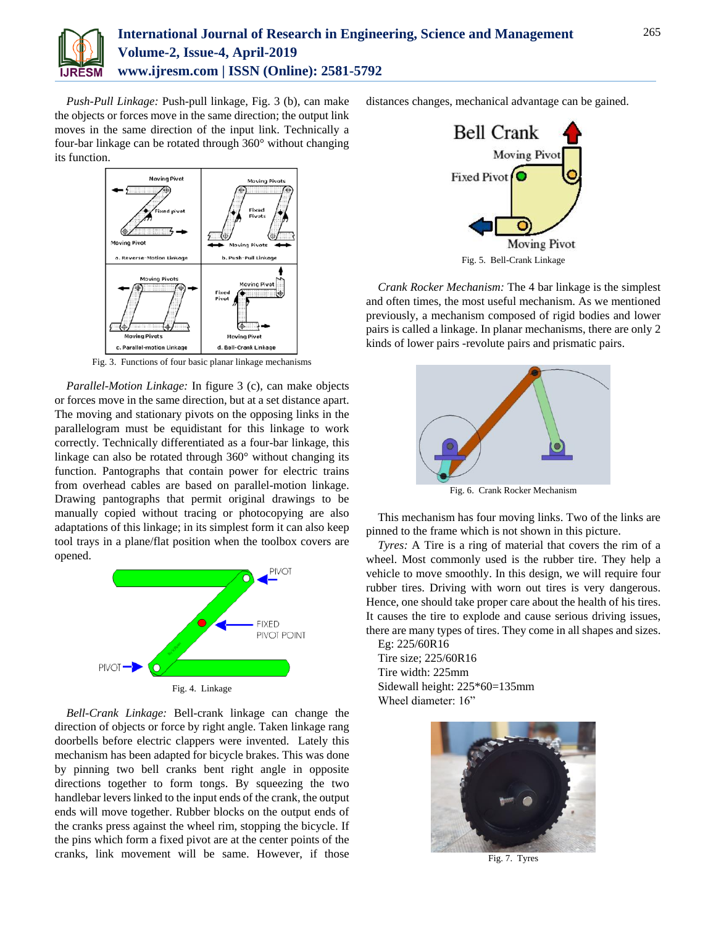

*Push-Pull Linkage:* Push-pull linkage, Fig. 3 (b), can make the objects or forces move in the same direction; the output link moves in the same direction of the input link. Technically a four-bar linkage can be rotated through 360° without changing its function.



Fig. 3. Functions of four basic planar linkage mechanisms

*Parallel-Motion Linkage:* In figure 3 (c), can make objects or forces move in the same direction, but at a set distance apart. The moving and stationary pivots on the opposing links in the parallelogram must be equidistant for this linkage to work correctly. Technically differentiated as a four-bar linkage, this linkage can also be rotated through 360° without changing its function. Pantographs that contain power for electric trains from overhead cables are based on parallel-motion linkage. Drawing pantographs that permit original drawings to be manually copied without tracing or photocopying are also adaptations of this linkage; in its simplest form it can also keep tool trays in a plane/flat position when the toolbox covers are opened.



*Bell-Crank Linkage:* Bell-crank linkage can change the direction of objects or force by right angle. Taken linkage rang doorbells before electric clappers were invented. Lately this mechanism has been adapted for bicycle brakes. This was done by pinning two bell cranks bent right angle in opposite directions together to form tongs. By squeezing the two handlebar levers linked to the input ends of the crank, the output ends will move together. Rubber blocks on the output ends of the cranks press against the wheel rim, stopping the bicycle. If the pins which form a fixed pivot are at the center points of the cranks, link movement will be same. However, if those distances changes, mechanical advantage can be gained.



Fig. 5. Bell-Crank Linkage

*Crank Rocker Mechanism:* The 4 bar linkage is the simplest and often times, the most useful mechanism. As we mentioned previously, a mechanism composed of rigid bodies and lower pairs is called a linkage. In planar mechanisms, there are only 2 kinds of lower pairs -revolute pairs and prismatic pairs.



Fig. 6. Crank Rocker Mechanism

This mechanism has four moving links. Two of the links are pinned to the frame which is not shown in this picture.

*Tyres:* A Tire is a ring of material that covers the rim of a wheel. Most commonly used is the rubber tire. They help a vehicle to move smoothly. In this design, we will require four rubber tires. Driving with worn out tires is very dangerous. Hence, one should take proper care about the health of his tires. It causes the tire to explode and cause serious driving issues, there are many types of tires. They come in all shapes and sizes.

Eg: 225/60R16 Tire size; 225/60R16 Tire width: 225mm Sidewall height: 225\*60=135mm Wheel diameter: 16"



Fig. 7. Tyres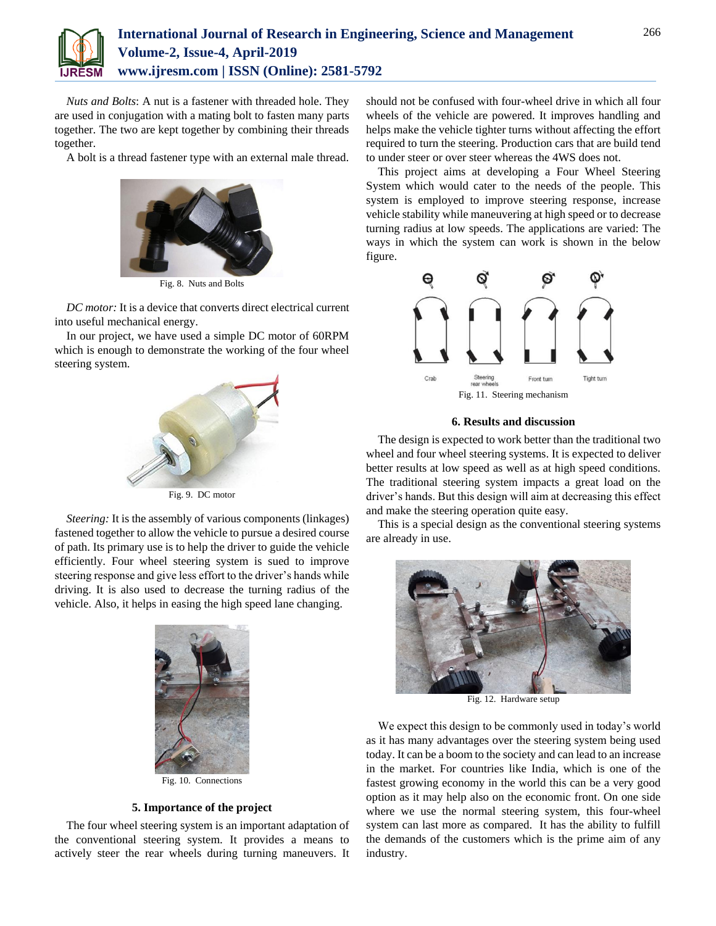

*Nuts and Bolts*: A nut is a fastener with threaded hole. They are used in conjugation with a mating bolt to fasten many parts together. The two are kept together by combining their threads together.

A bolt is a thread fastener type with an external male thread.



Fig. 8. Nuts and Bolts

*DC motor:* It is a device that converts direct electrical current into useful mechanical energy.

In our project, we have used a simple DC motor of 60RPM which is enough to demonstrate the working of the four wheel steering system.



Fig. 9. DC motor

*Steering:* It is the assembly of various components (linkages) fastened together to allow the vehicle to pursue a desired course of path. Its primary use is to help the driver to guide the vehicle efficiently. Four wheel steering system is sued to improve steering response and give less effort to the driver's hands while driving. It is also used to decrease the turning radius of the vehicle. Also, it helps in easing the high speed lane changing.



Fig. 10. Connections

#### **5. Importance of the project**

The four wheel steering system is an important adaptation of the conventional steering system. It provides a means to actively steer the rear wheels during turning maneuvers. It

should not be confused with four-wheel drive in which all four wheels of the vehicle are powered. It improves handling and helps make the vehicle tighter turns without affecting the effort required to turn the steering. Production cars that are build tend to under steer or over steer whereas the 4WS does not.

This project aims at developing a Four Wheel Steering System which would cater to the needs of the people. This system is employed to improve steering response, increase vehicle stability while maneuvering at high speed or to decrease turning radius at low speeds. The applications are varied: The ways in which the system can work is shown in the below figure.



### **6. Results and discussion**

The design is expected to work better than the traditional two wheel and four wheel steering systems. It is expected to deliver better results at low speed as well as at high speed conditions. The traditional steering system impacts a great load on the driver's hands. But this design will aim at decreasing this effect and make the steering operation quite easy.

This is a special design as the conventional steering systems are already in use.



Fig. 12. Hardware setup

We expect this design to be commonly used in today's world as it has many advantages over the steering system being used today. It can be a boom to the society and can lead to an increase in the market. For countries like India, which is one of the fastest growing economy in the world this can be a very good option as it may help also on the economic front. On one side where we use the normal steering system, this four-wheel system can last more as compared. It has the ability to fulfill the demands of the customers which is the prime aim of any industry.